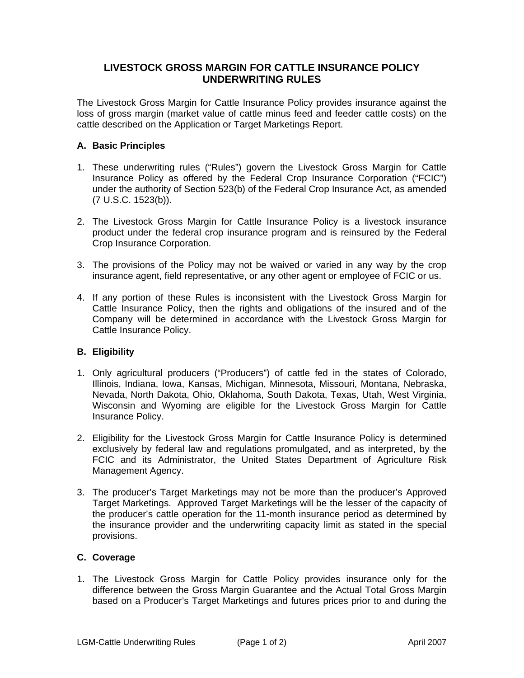## **LIVESTOCK GROSS MARGIN FOR CATTLE INSURANCE POLICY UNDERWRITING RULES**

The Livestock Gross Margin for Cattle Insurance Policy provides insurance against the loss of gross margin (market value of cattle minus feed and feeder cattle costs) on the cattle described on the Application or Target Marketings Report.

## **A. Basic Principles**

- 1. These underwriting rules ("Rules") govern the Livestock Gross Margin for Cattle Insurance Policy as offered by the Federal Crop Insurance Corporation ("FCIC") under the authority of Section 523(b) of the Federal Crop Insurance Act, as amended (7 U.S.C. 1523(b)).
- 2. The Livestock Gross Margin for Cattle Insurance Policy is a livestock insurance product under the federal crop insurance program and is reinsured by the Federal Crop Insurance Corporation.
- 3. The provisions of the Policy may not be waived or varied in any way by the crop insurance agent, field representative, or any other agent or employee of FCIC or us.
- 4. If any portion of these Rules is inconsistent with the Livestock Gross Margin for Cattle Insurance Policy, then the rights and obligations of the insured and of the Company will be determined in accordance with the Livestock Gross Margin for Cattle Insurance Policy.

## **B. Eligibility**

- 1. Only agricultural producers ("Producers") of cattle fed in the states of Colorado, Illinois, Indiana, Iowa, Kansas, Michigan, Minnesota, Missouri, Montana, Nebraska, Nevada, North Dakota, Ohio, Oklahoma, South Dakota, Texas, Utah, West Virginia, Wisconsin and Wyoming are eligible for the Livestock Gross Margin for Cattle Insurance Policy.
- 2. Eligibility for the Livestock Gross Margin for Cattle Insurance Policy is determined exclusively by federal law and regulations promulgated, and as interpreted, by the FCIC and its Administrator, the United States Department of Agriculture Risk Management Agency.
- 3. The producer's Target Marketings may not be more than the producer's Approved Target Marketings. Approved Target Marketings will be the lesser of the capacity of the producer's cattle operation for the 11-month insurance period as determined by the insurance provider and the underwriting capacity limit as stated in the special provisions.

## **C. Coverage**

1. The Livestock Gross Margin for Cattle Policy provides insurance only for the difference between the Gross Margin Guarantee and the Actual Total Gross Margin based on a Producer's Target Marketings and futures prices prior to and during the